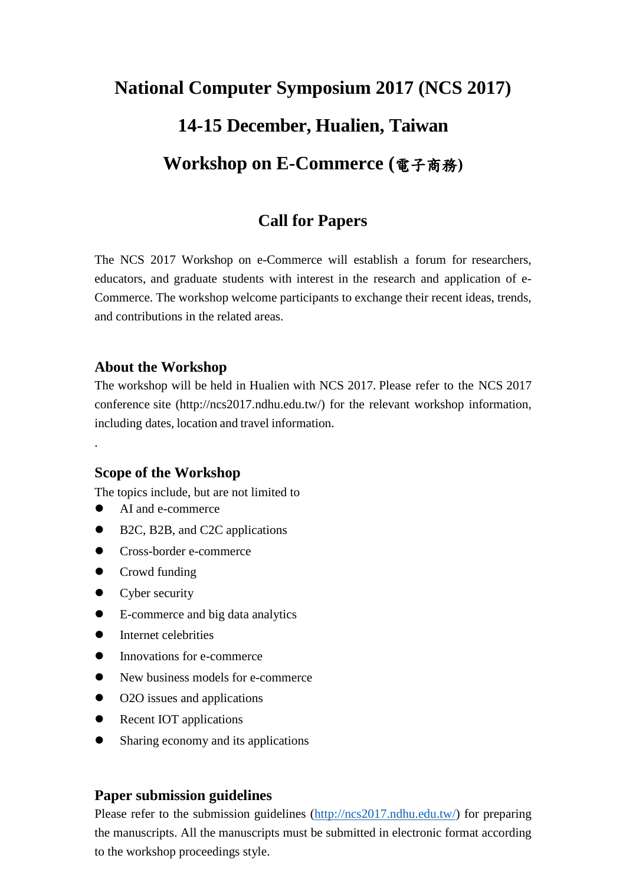# **National Computer Symposium 2017 (NCS 2017) 14-15 December, Hualien, Taiwan Workshop on E-Commerce (**電子商務**)**

## **Call for Papers**

The NCS 2017 Workshop on e-Commerce will establish a forum for researchers, educators, and graduate students with interest in the research and application of e-Commerce. The workshop welcome participants to exchange their recent ideas, trends, and contributions in the related areas.

#### **About the Workshop**

The workshop will be held in Hualien with NCS 2017. Please refer to the NCS 2017 conference site (http://ncs2017.ndhu.edu.tw/) for the relevant workshop information, including dates, location and travel information.

#### **Scope of the Workshop**

The topics include, but are not limited to

AI and e-commerce

[.](http://ncs2017.ndhu.edu.tw/)

- B2C, B2B, and C2C applications
- **•** Cross-border e-commerce
- Crowd funding
- Cyber security
- E-commerce and big data analytics
- Internet celebrities
- Innovations for e-commerce
- New business models for e-commerce
- O2O issues and applications
- Recent IOT applications
- Sharing economy and its applications

#### **Paper submission guidelines**

Please refer to the submission guidelines [\(http://ncs2017.ndhu.edu.tw/\)](http://ncs2017.ndhu.edu.tw/) for preparing the manuscripts. All the manuscripts must be submitted in electronic format according to the workshop proceedings style.